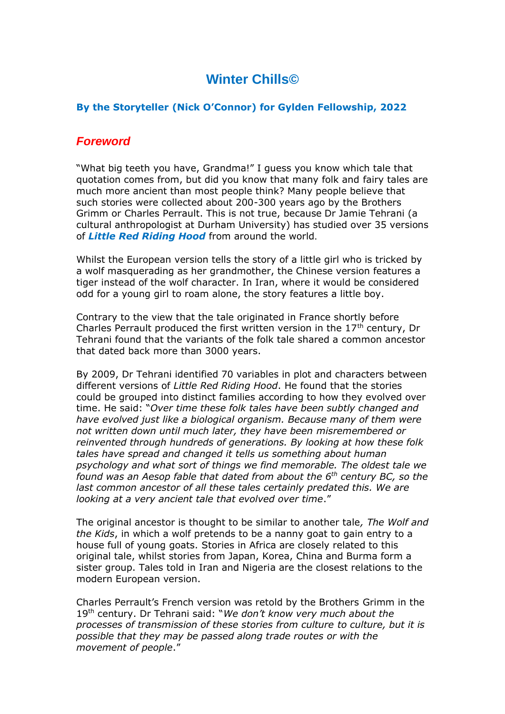# **Winter Chills©**

#### **By the Storyteller (Nick O'Connor) for Gylden Fellowship, 2022**

#### *Foreword*

"What big teeth you have, Grandma!" I guess you know which tale that quotation comes from, but did you know that many folk and fairy tales are much more ancient than most people think? Many people believe that such stories were collected about 200-300 years ago by the Brothers Grimm or Charles Perrault. This is not true, because Dr Jamie Tehrani (a cultural anthropologist at Durham University) has studied over 35 versions of *Little Red Riding Hood* from around the world.

Whilst the European version tells the story of a little girl who is tricked by a wolf masquerading as her grandmother, the Chinese version features a tiger instead of the wolf character. In Iran, where it would be considered odd for a young girl to roam alone, the story features a little boy.

Contrary to the view that the tale originated in France shortly before Charles Perrault produced the first written version in the  $17<sup>th</sup>$  century, Dr Tehrani found that the variants of the folk tale shared a common ancestor that dated back more than 3000 years.

By 2009, Dr Tehrani identified 70 variables in plot and characters between different versions of *Little Red Riding Hood*. He found that the stories could be grouped into distinct families according to how they evolved over time. He said: "*Over time these folk tales have been subtly changed and have evolved just like a biological organism. Because many of them were not written down until much later, they have been misremembered or reinvented through hundreds of generations. By looking at how these folk tales have spread and changed it tells us something about human psychology and what sort of things we find memorable. The oldest tale we found was an Aesop fable that dated from about the 6th century BC, so the*  last common ancestor of all these tales certainly predated this. We are *looking at a very ancient tale that evolved over time*."

The original ancestor is thought to be similar to another tale*, The Wolf and the Kids*, in which a wolf pretends to be a nanny goat to gain entry to a house full of young goats. Stories in Africa are closely related to this original tale, whilst stories from Japan, Korea, China and Burma form a sister group. Tales told in Iran and Nigeria are the closest relations to the modern European version.

Charles Perrault's French version was retold by the Brothers Grimm in the 19th century. Dr Tehrani said: "*We don't know very much about the processes of transmission of these stories from culture to culture, but it is possible that they may be passed along trade routes or with the movement of people*."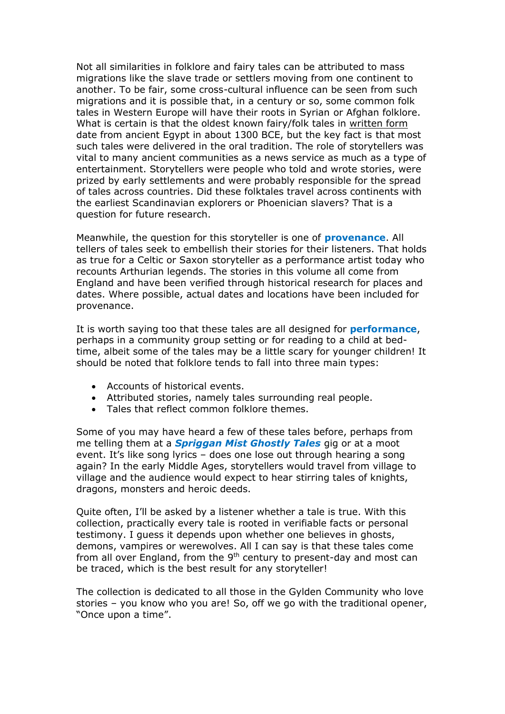Not all similarities in folklore and fairy tales can be attributed to mass migrations like the slave trade or settlers moving from one continent to another. To be fair, some cross-cultural influence can be seen from such migrations and it is possible that, in a century or so, some common folk tales in Western Europe will have their roots in Syrian or Afghan folklore. What is certain is that the oldest known fairy/folk tales in written form date from ancient Egypt in about 1300 BCE, but the key fact is that most such tales were delivered in the oral tradition. The role of storytellers was vital to many ancient communities as a news service as much as a type of entertainment. Storytellers were people who told and wrote stories, were prized by early settlements and were probably responsible for the spread of tales across countries. Did these folktales travel across continents with the earliest Scandinavian explorers or Phoenician slavers? That is a question for future research.

Meanwhile, the question for this storyteller is one of **provenance**. All tellers of tales seek to embellish their stories for their listeners. That holds as true for a Celtic or Saxon storyteller as a performance artist today who recounts Arthurian legends. The stories in this volume all come from England and have been verified through historical research for places and dates. Where possible, actual dates and locations have been included for provenance.

It is worth saying too that these tales are all designed for **performance**, perhaps in a community group setting or for reading to a child at bedtime, albeit some of the tales may be a little scary for younger children! It should be noted that folklore tends to fall into three main types:

- Accounts of historical events.
- Attributed stories, namely tales surrounding real people.
- Tales that reflect common folklore themes.

Some of you may have heard a few of these tales before, perhaps from me telling them at a *Spriggan Mist Ghostly Tales* gig or at a moot event. It's like song lyrics – does one lose out through hearing a song again? In the early Middle Ages, storytellers would travel from village to village and the audience would expect to hear stirring tales of knights, dragons, monsters and heroic deeds.

Quite often, I'll be asked by a listener whether a tale is true. With this collection, practically every tale is rooted in verifiable facts or personal testimony. I guess it depends upon whether one believes in ghosts, demons, vampires or werewolves. All I can say is that these tales come from all over England, from the 9<sup>th</sup> century to present-day and most can be traced, which is the best result for any storyteller!

The collection is dedicated to all those in the Gylden Community who love stories – you know who you are! So, off we go with the traditional opener, "Once upon a time".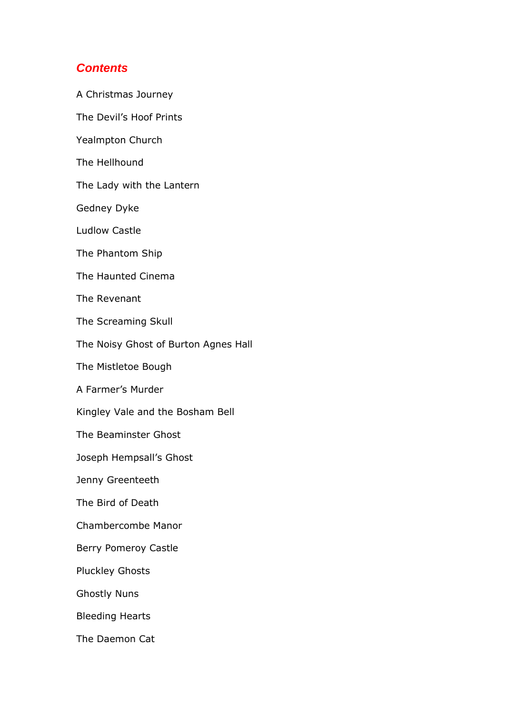#### *Contents*

A Christmas Journey The Devil's Hoof Prints Yealmpton Church The Hellhound The Lady with the Lantern Gedney Dyke Ludlow Castle The Phantom Ship The Haunted Cinema The Revenant The Screaming Skull The Noisy Ghost of Burton Agnes Hall The Mistletoe Bough A Farmer's Murder Kingley Vale and the Bosham Bell The Beaminster Ghost Joseph Hempsall's Ghost Jenny Greenteeth The Bird of Death Chambercombe Manor Berry Pomeroy Castle Pluckley Ghosts Ghostly Nuns Bleeding Hearts The Daemon Cat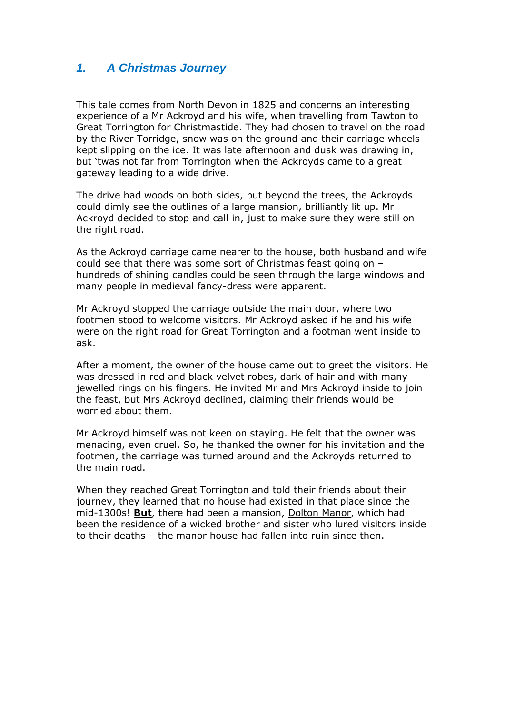### *1. A Christmas Journey*

This tale comes from North Devon in 1825 and concerns an interesting experience of a Mr Ackroyd and his wife, when travelling from Tawton to Great Torrington for Christmastide. They had chosen to travel on the road by the River Torridge, snow was on the ground and their carriage wheels kept slipping on the ice. It was late afternoon and dusk was drawing in, but 'twas not far from Torrington when the Ackroyds came to a great gateway leading to a wide drive.

The drive had woods on both sides, but beyond the trees, the Ackroyds could dimly see the outlines of a large mansion, brilliantly lit up. Mr Ackroyd decided to stop and call in, just to make sure they were still on the right road.

As the Ackroyd carriage came nearer to the house, both husband and wife could see that there was some sort of Christmas feast going on – hundreds of shining candles could be seen through the large windows and many people in medieval fancy-dress were apparent.

Mr Ackroyd stopped the carriage outside the main door, where two footmen stood to welcome visitors. Mr Ackroyd asked if he and his wife were on the right road for Great Torrington and a footman went inside to ask.

After a moment, the owner of the house came out to greet the visitors. He was dressed in red and black velvet robes, dark of hair and with many jewelled rings on his fingers. He invited Mr and Mrs Ackroyd inside to join the feast, but Mrs Ackroyd declined, claiming their friends would be worried about them.

Mr Ackroyd himself was not keen on staying. He felt that the owner was menacing, even cruel. So, he thanked the owner for his invitation and the footmen, the carriage was turned around and the Ackroyds returned to the main road.

When they reached Great Torrington and told their friends about their journey, they learned that no house had existed in that place since the mid-1300s! **But**, there had been a mansion, Dolton Manor, which had been the residence of a wicked brother and sister who lured visitors inside to their deaths – the manor house had fallen into ruin since then.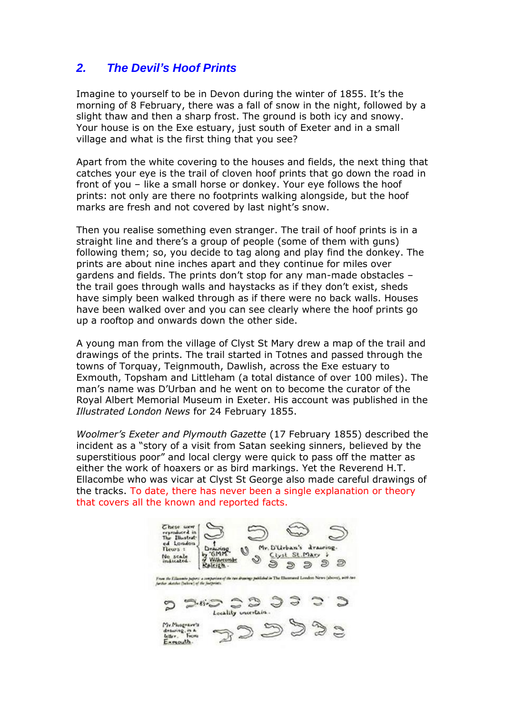### *2. The Devil's Hoof Prints*

Imagine to yourself to be in Devon during the winter of 1855. It's the morning of 8 February, there was a fall of snow in the night, followed by a slight thaw and then a sharp frost. The ground is both icy and snowy. Your house is on the Exe estuary, just south of Exeter and in a small village and what is the first thing that you see?

Apart from the white covering to the houses and fields, the next thing that catches your eye is the trail of cloven hoof prints that go down the road in front of you – like a small horse or donkey. Your eye follows the hoof prints: not only are there no footprints walking alongside, but the hoof marks are fresh and not covered by last night's snow.

Then you realise something even stranger. The trail of hoof prints is in a straight line and there's a group of people (some of them with guns) following them; so, you decide to tag along and play find the donkey. The prints are about nine inches apart and they continue for miles over gardens and fields. The prints don't stop for any man-made obstacles – the trail goes through walls and haystacks as if they don't exist, sheds have simply been walked through as if there were no back walls. Houses have been walked over and you can see clearly where the hoof prints go up a rooftop and onwards down the other side.

A young man from the village of Clyst St Mary drew a map of the trail and drawings of the prints. The trail started in Totnes and passed through the towns of Torquay, Teignmouth, Dawlish, across the Exe estuary to Exmouth, Topsham and Littleham (a total distance of over 100 miles). The man's name was D'Urban and he went on to become the curator of the Royal Albert Memorial Museum in Exeter. His account was published in the *Illustrated London News* for 24 February 1855.

*Woolmer's Exeter and Plymouth Gazette* (17 February 1855) described the incident as a "story of a visit from Satan seeking sinners, believed by the superstitious poor" and local clergy were quick to pass off the matter as either the work of hoaxers or as bird markings. Yet the Reverend H.T. Ellacombe who was vicar at Clyst St George also made careful drawings of the tracks. To date, there has never been a single explanation or theory that covers all the known and reported facts.

Chese were reproduced in ed London Mr. D'Urban's drawing. Tleurs : b.  $9999$ Withrombe<br>Raleigh No scale<br>indicated.  $\circledcirc$ the two drawings published in The Elisamund London News (above), with two From the Ed lo Ediamnio papert a tempo<br>skatshet (babera') of the finity  $5.6522$  $\sim$ Locality uncertain.  $\mathbb{S}\subset\mathbb{C}$ Mr Musevavets nag.m.e.<br>Events tetter.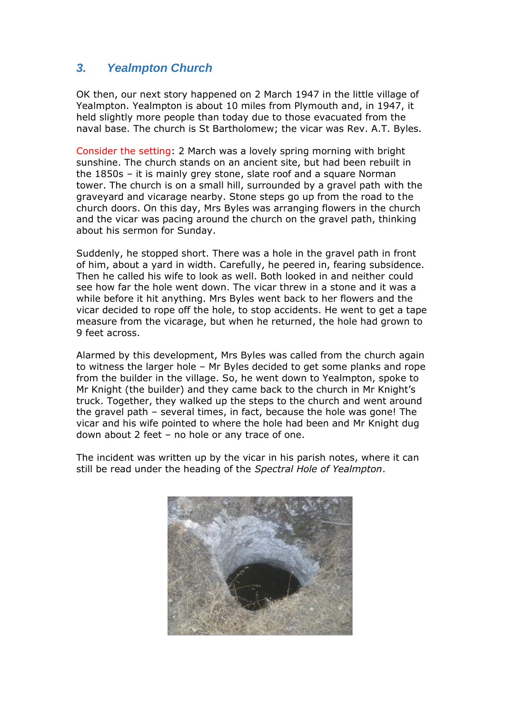#### *3. Yealmpton Church*

OK then, our next story happened on 2 March 1947 in the little village of Yealmpton. Yealmpton is about 10 miles from Plymouth and, in 1947, it held slightly more people than today due to those evacuated from the naval base. The church is St Bartholomew; the vicar was Rev. A.T. Byles.

Consider the setting: 2 March was a lovely spring morning with bright sunshine. The church stands on an ancient site, but had been rebuilt in the 1850s – it is mainly grey stone, slate roof and a square Norman tower. The church is on a small hill, surrounded by a gravel path with the graveyard and vicarage nearby. Stone steps go up from the road to the church doors. On this day, Mrs Byles was arranging flowers in the church and the vicar was pacing around the church on the gravel path, thinking about his sermon for Sunday.

Suddenly, he stopped short. There was a hole in the gravel path in front of him, about a yard in width. Carefully, he peered in, fearing subsidence. Then he called his wife to look as well. Both looked in and neither could see how far the hole went down. The vicar threw in a stone and it was a while before it hit anything. Mrs Byles went back to her flowers and the vicar decided to rope off the hole, to stop accidents. He went to get a tape measure from the vicarage, but when he returned, the hole had grown to 9 feet across.

Alarmed by this development, Mrs Byles was called from the church again to witness the larger hole – Mr Byles decided to get some planks and rope from the builder in the village. So, he went down to Yealmpton, spoke to Mr Knight (the builder) and they came back to the church in Mr Knight's truck. Together, they walked up the steps to the church and went around the gravel path – several times, in fact, because the hole was gone! The vicar and his wife pointed to where the hole had been and Mr Knight dug down about 2 feet – no hole or any trace of one.

The incident was written up by the vicar in his parish notes, where it can still be read under the heading of the *Spectral Hole of Yealmpton*.

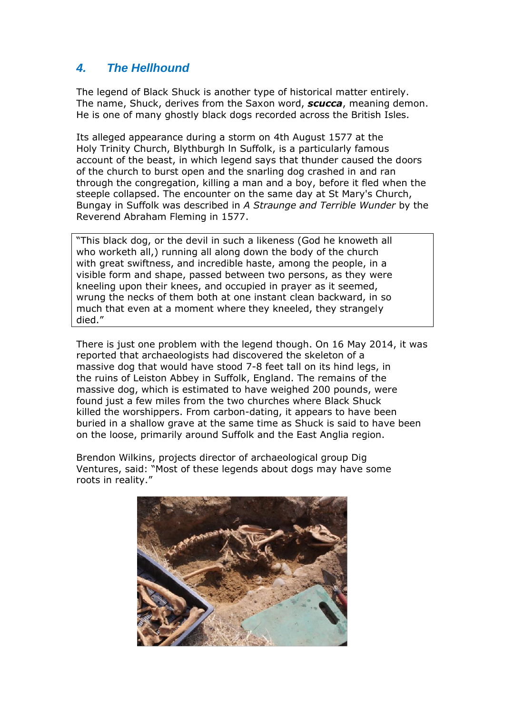## *4. The Hellhound*

The legend of Black Shuck is another type of historical matter entirely. The name, Shuck, derives from the Saxon word, *scucca*, meaning demon. He is one of many ghostly black dogs recorded across the British Isles.

Its alleged appearance during a storm on 4th August 1577 at the Holy Trinity Church, Blythburgh ln Suffolk, is a particularly famous account of the beast, in which legend says that thunder caused the doors of the church to burst open and the snarling dog crashed in and ran through the congregation, killing a man and a boy, before it fled when the steeple collapsed. The encounter on the same day at St Mary's Church, Bungay in Suffolk was described in *A Straunge and Terrible Wunder* by the Reverend Abraham Fleming in 1577.

"This black dog, or the devil in such a likeness (God he knoweth all who worketh all,) running all along down the body of the church with great swiftness, and incredible haste, among the people, in a visible form and shape, passed between two persons, as they were kneeling upon their knees, and occupied in prayer as it seemed, wrung the necks of them both at one instant clean backward, in so much that even at a moment where they kneeled, they strangely died."

There is just one problem with the legend though. On 16 May 2014, it was reported that archaeologists had discovered the skeleton of a massive dog that would have stood 7-8 feet tall on its hind legs, in the ruins of Leiston Abbey in Suffolk, England. The remains of the massive dog, which is estimated to have weighed 200 pounds, were found just a few miles from the two churches where Black Shuck killed the worshippers. From carbon-dating, it appears to have been buried in a shallow grave at the same time as Shuck is said to have been on the loose, primarily around Suffolk and the East Anglia region.

Brendon Wilkins, projects director of archaeological group Dig Ventures, said: "Most of these legends about dogs may have some roots in reality."

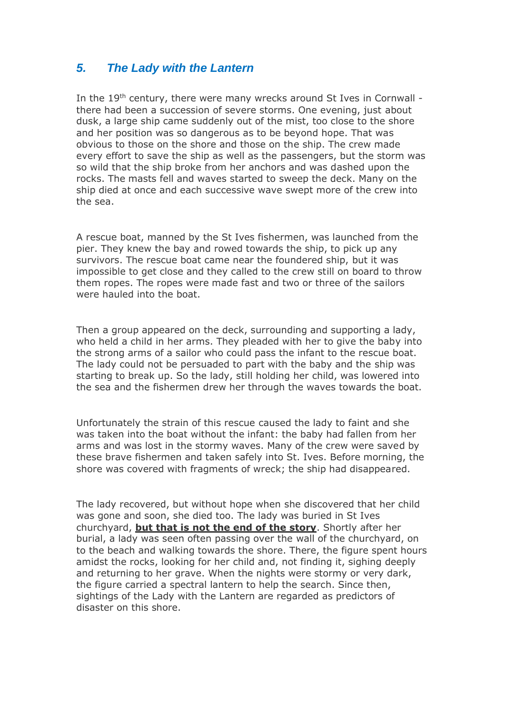### *5. The Lady with the Lantern*

In the 19<sup>th</sup> century, there were many wrecks around St Ives in Cornwall there had been a succession of severe storms. One evening, just about dusk, a large ship came suddenly out of the mist, too close to the shore and her position was so dangerous as to be beyond hope. That was obvious to those on the shore and those on the ship. The crew made every effort to save the ship as well as the passengers, but the storm was so wild that the ship broke from her anchors and was dashed upon the rocks. The masts fell and waves started to sweep the deck. Many on the ship died at once and each successive wave swept more of the crew into the sea.

A rescue boat, manned by the St Ives fishermen, was launched from the pier. They knew the bay and rowed towards the ship, to pick up any survivors. The rescue boat came near the foundered ship, but it was impossible to get close and they called to the crew still on board to throw them ropes. The ropes were made fast and two or three of the sailors were hauled into the boat.

Then a group appeared on the deck, surrounding and supporting a lady, who held a child in her arms. They pleaded with her to give the baby into the strong arms of a sailor who could pass the infant to the rescue boat. The lady could not be persuaded to part with the baby and the ship was starting to break up. So the lady, still holding her child, was lowered into the sea and the fishermen drew her through the waves towards the boat.

Unfortunately the strain of this rescue caused the lady to faint and she was taken into the boat without the infant: the baby had fallen from her arms and was lost in the stormy waves. Many of the crew were saved by these brave fishermen and taken safely into St. Ives. Before morning, the shore was covered with fragments of wreck; the ship had disappeared.

The lady recovered, but without hope when she discovered that her child was gone and soon, she died too. The lady was buried in St Ives churchyard, **but that is not the end of the story**. Shortly after her burial, a lady was seen often passing over the wall of the churchyard, on to the beach and walking towards the shore. There, the figure spent hours amidst the rocks, looking for her child and, not finding it, sighing deeply and returning to her grave. When the nights were stormy or very dark, the figure carried a spectral lantern to help the search. Since then, sightings of the Lady with the Lantern are regarded as predictors of disaster on this shore.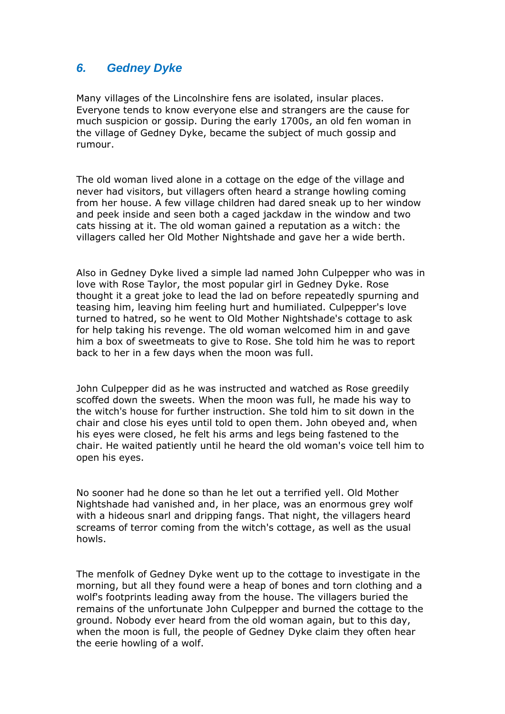### *6. Gedney Dyke*

Many villages of the Lincolnshire fens are isolated, insular places. Everyone tends to know everyone else and strangers are the cause for much suspicion or gossip. During the early 1700s, an old fen woman in the village of Gedney Dyke, became the subject of much gossip and rumour.

The old woman lived alone in a cottage on the edge of the village and never had visitors, but villagers often heard a strange howling coming from her house. A few village children had dared sneak up to her window and peek inside and seen both a caged jackdaw in the window and two cats hissing at it. The old woman gained a reputation as a witch: the villagers called her Old Mother Nightshade and gave her a wide berth.

Also in Gedney Dyke lived a simple lad named John Culpepper who was in love with Rose Taylor, the most popular girl in Gedney Dyke. Rose thought it a great joke to lead the lad on before repeatedly spurning and teasing him, leaving him feeling hurt and humiliated. Culpepper's love turned to hatred, so he went to Old Mother Nightshade's cottage to ask for help taking his revenge. The old woman welcomed him in and gave him a box of sweetmeats to give to Rose. She told him he was to report back to her in a few days when the moon was full.

John Culpepper did as he was instructed and watched as Rose greedily scoffed down the sweets. When the moon was full, he made his way to the witch's house for further instruction. She told him to sit down in the chair and close his eyes until told to open them. John obeyed and, when his eyes were closed, he felt his arms and legs being fastened to the chair. He waited patiently until he heard the old woman's voice tell him to open his eyes.

No sooner had he done so than he let out a terrified yell. Old Mother Nightshade had vanished and, in her place, was an enormous grey wolf with a hideous snarl and dripping fangs. That night, the villagers heard screams of terror coming from the witch's cottage, as well as the usual howls.

The menfolk of Gedney Dyke went up to the cottage to investigate in the morning, but all they found were a heap of bones and torn clothing and a wolf's footprints leading away from the house. The villagers buried the remains of the unfortunate John Culpepper and burned the cottage to the ground. Nobody ever heard from the old woman again, but to this day, when the moon is full, the people of Gedney Dyke claim they often hear the eerie howling of a wolf.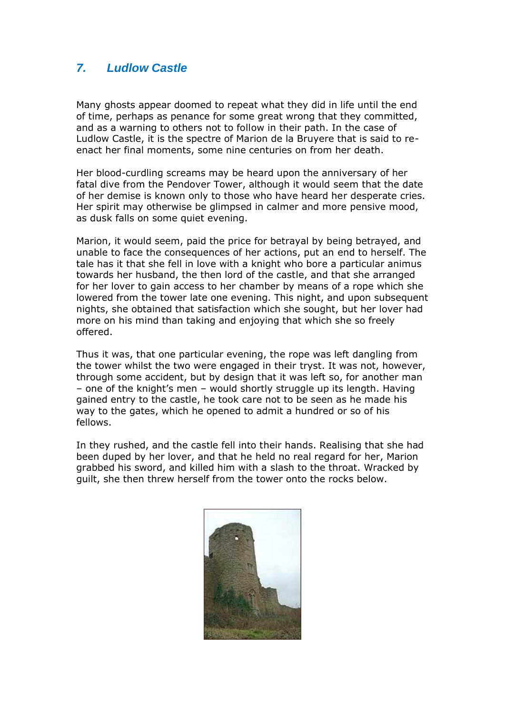# *7. Ludlow Castle*

Many ghosts appear doomed to repeat what they did in life until the end of time, perhaps as penance for some great wrong that they committed, and as a warning to others not to follow in their path. In the case of Ludlow Castle, it is the spectre of Marion de la Bruyere that is said to reenact her final moments, some nine centuries on from her death.

Her blood-curdling screams may be heard upon the anniversary of her fatal dive from the Pendover Tower, although it would seem that the date of her demise is known only to those who have heard her desperate cries. Her spirit may otherwise be glimpsed in calmer and more pensive mood, as dusk falls on some quiet evening.

Marion, it would seem, paid the price for betrayal by being betrayed, and unable to face the consequences of her actions, put an end to herself. The tale has it that she fell in love with a knight who bore a particular animus towards her husband, the then lord of the castle, and that she arranged for her lover to gain access to her chamber by means of a rope which she lowered from the tower late one evening. This night, and upon subsequent nights, she obtained that satisfaction which she sought, but her lover had more on his mind than taking and enjoying that which she so freely offered.

Thus it was, that one particular evening, the rope was left dangling from the tower whilst the two were engaged in their tryst. It was not, however, through some accident, but by design that it was left so, for another man – one of the knight's men – would shortly struggle up its length. Having gained entry to the castle, he took care not to be seen as he made his way to the gates, which he opened to admit a hundred or so of his fellows.

In they rushed, and the castle fell into their hands. Realising that she had been duped by her lover, and that he held no real regard for her, Marion grabbed his sword, and killed him with a slash to the throat. Wracked by guilt, she then threw herself from the tower onto the rocks below.

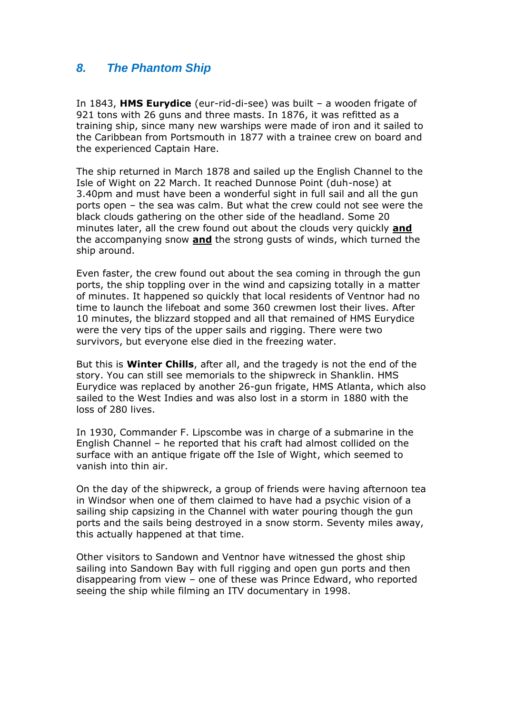### *8. The Phantom Ship*

In 1843, **HMS Eurydice** (eur-rid-di-see) was built – a wooden frigate of 921 tons with 26 guns and three masts. In 1876, it was refitted as a training ship, since many new warships were made of iron and it sailed to the Caribbean from Portsmouth in 1877 with a trainee crew on board and the experienced Captain Hare.

The ship returned in March 1878 and sailed up the English Channel to the Isle of Wight on 22 March. It reached Dunnose Point (duh-nose) at 3.40pm and must have been a wonderful sight in full sail and all the gun ports open – the sea was calm. But what the crew could not see were the black clouds gathering on the other side of the headland. Some 20 minutes later, all the crew found out about the clouds very quickly **and** the accompanying snow **and** the strong gusts of winds, which turned the ship around.

Even faster, the crew found out about the sea coming in through the gun ports, the ship toppling over in the wind and capsizing totally in a matter of minutes. It happened so quickly that local residents of Ventnor had no time to launch the lifeboat and some 360 crewmen lost their lives. After 10 minutes, the blizzard stopped and all that remained of HMS Eurydice were the very tips of the upper sails and rigging. There were two survivors, but everyone else died in the freezing water.

But this is **Winter Chills**, after all, and the tragedy is not the end of the story. You can still see memorials to the shipwreck in Shanklin. HMS Eurydice was replaced by another 26-gun frigate, HMS Atlanta, which also sailed to the West Indies and was also lost in a storm in 1880 with the loss of 280 lives.

In 1930, Commander F. Lipscombe was in charge of a submarine in the English Channel – he reported that his craft had almost collided on the surface with an antique frigate off the Isle of Wight, which seemed to vanish into thin air.

On the day of the shipwreck, a group of friends were having afternoon tea in Windsor when one of them claimed to have had a psychic vision of a sailing ship capsizing in the Channel with water pouring though the gun ports and the sails being destroyed in a snow storm. Seventy miles away, this actually happened at that time.

Other visitors to Sandown and Ventnor have witnessed the ghost ship sailing into Sandown Bay with full rigging and open gun ports and then disappearing from view – one of these was Prince Edward, who reported seeing the ship while filming an ITV documentary in 1998.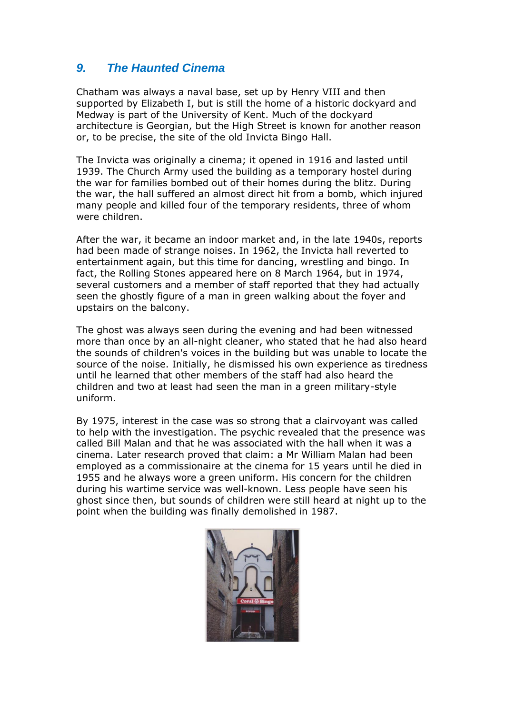### *9. The Haunted Cinema*

Chatham was always a naval base, set up by Henry VIII and then supported by Elizabeth I, but is still the home of a historic dockyard and Medway is part of the University of Kent. Much of the dockyard architecture is Georgian, but the High Street is known for another reason or, to be precise, the site of the old Invicta Bingo Hall.

The Invicta was originally a cinema; it opened in 1916 and lasted until 1939. The Church Army used the building as a temporary hostel during the war for families bombed out of their homes during the blitz. During the war, the hall suffered an almost direct hit from a bomb, which injured many people and killed four of the temporary residents, three of whom were children.

After the war, it became an indoor market and, in the late 1940s, reports had been made of strange noises. In 1962, the Invicta hall reverted to entertainment again, but this time for dancing, wrestling and bingo. In fact, the Rolling Stones appeared here on 8 March 1964, but in 1974, several customers and a member of staff reported that they had actually seen the ghostly figure of a man in green walking about the foyer and upstairs on the balcony.

The ghost was always seen during the evening and had been witnessed more than once by an all-night cleaner, who stated that he had also heard the sounds of children's voices in the building but was unable to locate the source of the noise. Initially, he dismissed his own experience as tiredness until he learned that other members of the staff had also heard the children and two at least had seen the man in a green military-style uniform.

By 1975, interest in the case was so strong that a clairvoyant was called to help with the investigation. The psychic revealed that the presence was called Bill Malan and that he was associated with the hall when it was a cinema. Later research proved that claim: a Mr William Malan had been employed as a commissionaire at the cinema for 15 years until he died in 1955 and he always wore a green uniform. His concern for the children during his wartime service was well-known. Less people have seen his ghost since then, but sounds of children were still heard at night up to the point when the building was finally demolished in 1987.

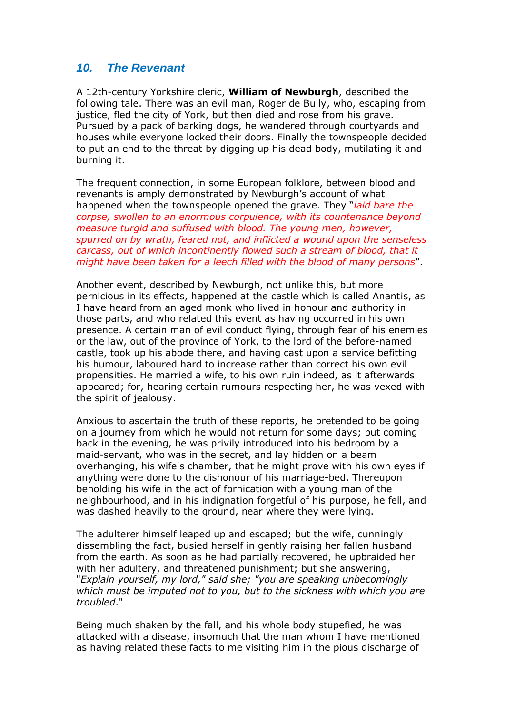#### *10. The Revenant*

A 12th-century Yorkshire cleric, **William of Newburgh**, described the following tale. There was an evil man, Roger de Bully, who, escaping from justice, fled the city of York, but then died and rose from his grave. Pursued by a pack of barking dogs, he wandered through courtyards and houses while everyone locked their doors. Finally the townspeople decided to put an end to the threat by digging up his dead body, mutilating it and burning it.

The frequent connection, in some European folklore, between blood and revenants is amply demonstrated by Newburgh's account of what happened when the townspeople opened the grave. They "*laid bare the corpse, swollen to an enormous corpulence, with its countenance beyond measure turgid and suffused with blood. The young men, however, spurred on by wrath, feared not, and inflicted a wound upon the senseless carcass, out of which incontinently flowed such a stream of blood, that it might have been taken for a leech filled with the blood of many persons*".

Another event, described by Newburgh, not unlike this, but more pernicious in its effects, happened at the castle which is called Anantis, as I have heard from an aged monk who lived in honour and authority in those parts, and who related this event as having occurred in his own presence. A certain man of evil conduct flying, through fear of his enemies or the law, out of the province of York, to the lord of the before-named castle, took up his abode there, and having cast upon a service befitting his humour, laboured hard to increase rather than correct his own evil propensities. He married a wife, to his own ruin indeed, as it afterwards appeared; for, hearing certain rumours respecting her, he was vexed with the spirit of jealousy.

Anxious to ascertain the truth of these reports, he pretended to be going on a journey from which he would not return for some days; but coming back in the evening, he was privily introduced into his bedroom by a maid-servant, who was in the secret, and lay hidden on a beam overhanging, his wife's chamber, that he might prove with his own eyes if anything were done to the dishonour of his marriage-bed. Thereupon beholding his wife in the act of fornication with a young man of the neighbourhood, and in his indignation forgetful of his purpose, he fell, and was dashed heavily to the ground, near where they were lying.

The adulterer himself leaped up and escaped; but the wife, cunningly dissembling the fact, busied herself in gently raising her fallen husband from the earth. As soon as he had partially recovered, he upbraided her with her adultery, and threatened punishment; but she answering, "*Explain yourself, my lord," said she; "you are speaking unbecomingly which must be imputed not to you, but to the sickness with which you are troubled*."

Being much shaken by the fall, and his whole body stupefied, he was attacked with a disease, insomuch that the man whom I have mentioned as having related these facts to me visiting him in the pious discharge of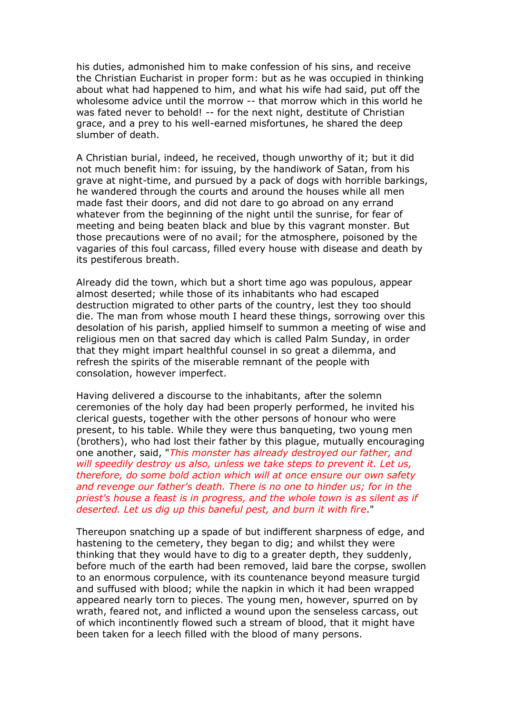his duties, admonished him to make confession of his sins, and receive the Christian Eucharist in proper form: but as he was occupied in thinking about what had happened to him, and what his wife had said, put off the wholesome advice until the morrow -- that morrow which in this world he was fated never to behold! -- for the next night, destitute of Christian grace, and a prey to his well-earned misfortunes, he shared the deep slumber of death.

A Christian burial, indeed, he received, though unworthy of it; but it did not much benefit him: for issuing, by the handiwork of Satan, from his grave at night-time, and pursued by a pack of dogs with horrible barkings, he wandered through the courts and around the houses while all men made fast their doors, and did not dare to go abroad on any errand whatever from the beginning of the night until the sunrise, for fear of meeting and being beaten black and blue by this vagrant monster. But those precautions were of no avail; for the atmosphere, poisoned by the vagaries of this foul carcass, filled every house with disease and death by its pestiferous breath.

Already did the town, which but a short time ago was populous, appear almost deserted; while those of its inhabitants who had escaped destruction migrated to other parts of the country, lest they too should die. The man from whose mouth I heard these things, sorrowing over this desolation of his parish, applied himself to summon a meeting of wise and religious men on that sacred day which is called Palm Sunday, in order that they might impart healthful counsel in so great a dilemma, and refresh the spirits of the miserable remnant of the people with consolation, however imperfect.

Having delivered a discourse to the inhabitants, after the solemn ceremonies of the holy day had been properly performed, he invited his clerical guests, together with the other persons of honour who were present, to his table. While they were thus banqueting, two young men (brothers), who had lost their father by this plague, mutually encouraging one another, said, "*This monster has already destroyed our father, and will speedily destroy us also, unless we take steps to prevent it. Let us, therefore, do some bold action which will at once ensure our own safety and revenge our father's death. There is no one to hinder us; for in the priest's house a feast is in progress, and the whole town is as silent as if deserted. Let us dig up this baneful pest, and burn it with fire*."

Thereupon snatching up a spade of but indifferent sharpness of edge, and hastening to the cemetery, they began to dig; and whilst they were thinking that they would have to dig to a greater depth, they suddenly, before much of the earth had been removed, laid bare the corpse, swollen to an enormous corpulence, with its countenance beyond measure turgid and suffused with blood; while the napkin in which it had been wrapped appeared nearly torn to pieces. The young men, however, spurred on by wrath, feared not, and inflicted a wound upon the senseless carcass, out of which incontinently flowed such a stream of blood, that it might have been taken for a leech filled with the blood of many persons.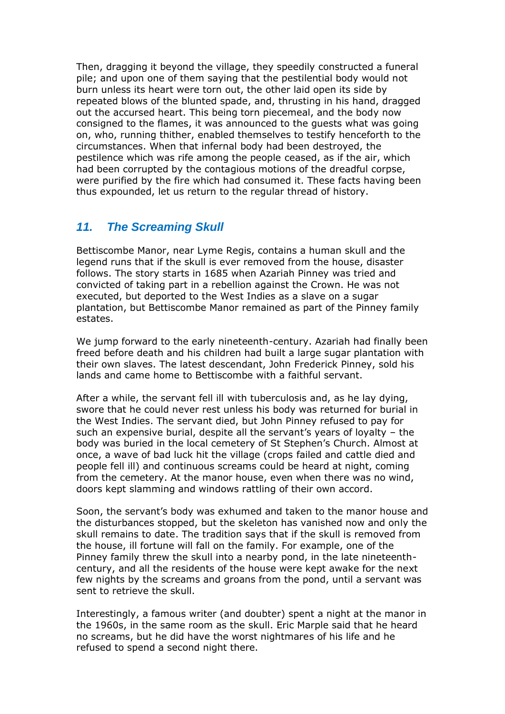Then, dragging it beyond the village, they speedily constructed a funeral pile; and upon one of them saying that the pestilential body would not burn unless its heart were torn out, the other laid open its side by repeated blows of the blunted spade, and, thrusting in his hand, dragged out the accursed heart. This being torn piecemeal, and the body now consigned to the flames, it was announced to the guests what was going on, who, running thither, enabled themselves to testify henceforth to the circumstances. When that infernal body had been destroyed, the pestilence which was rife among the people ceased, as if the air, which had been corrupted by the contagious motions of the dreadful corpse, were purified by the fire which had consumed it. These facts having been thus expounded, let us return to the regular thread of history.

#### *11. The Screaming Skull*

Bettiscombe Manor, near Lyme Regis, contains a human skull and the legend runs that if the skull is ever removed from the house, disaster follows. The story starts in 1685 when Azariah Pinney was tried and convicted of taking part in a rebellion against the Crown. He was not executed, but deported to the West Indies as a slave on a sugar plantation, but Bettiscombe Manor remained as part of the Pinney family estates.

We jump forward to the early nineteenth-century. Azariah had finally been freed before death and his children had built a large sugar plantation with their own slaves. The latest descendant, John Frederick Pinney, sold his lands and came home to Bettiscombe with a faithful servant.

After a while, the servant fell ill with tuberculosis and, as he lay dying, swore that he could never rest unless his body was returned for burial in the West Indies. The servant died, but John Pinney refused to pay for such an expensive burial, despite all the servant's years of loyalty – the body was buried in the local cemetery of St Stephen's Church. Almost at once, a wave of bad luck hit the village (crops failed and cattle died and people fell ill) and continuous screams could be heard at night, coming from the cemetery. At the manor house, even when there was no wind, doors kept slamming and windows rattling of their own accord.

Soon, the servant's body was exhumed and taken to the manor house and the disturbances stopped, but the skeleton has vanished now and only the skull remains to date. The tradition says that if the skull is removed from the house, ill fortune will fall on the family. For example, one of the Pinney family threw the skull into a nearby pond, in the late nineteenthcentury, and all the residents of the house were kept awake for the next few nights by the screams and groans from the pond, until a servant was sent to retrieve the skull.

Interestingly, a famous writer (and doubter) spent a night at the manor in the 1960s, in the same room as the skull. Eric Marple said that he heard no screams, but he did have the worst nightmares of his life and he refused to spend a second night there.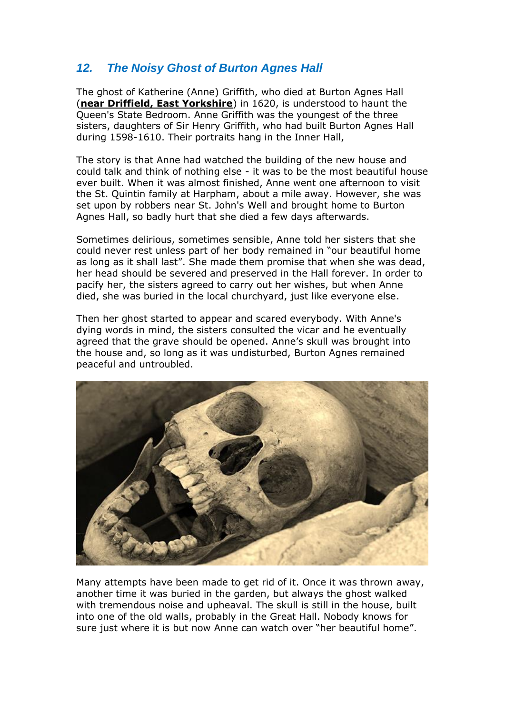## *12. The Noisy Ghost of Burton Agnes Hall*

The ghost of Katherine (Anne) Griffith, who died at Burton Agnes Hall (**near Driffield, East Yorkshire**) in 1620, is understood to haunt the Queen's State Bedroom. Anne Griffith was the youngest of the three sisters, daughters of Sir Henry Griffith, who had built Burton Agnes Hall during 1598-1610. Their portraits hang in the Inner Hall,

The story is that Anne had watched the building of the new house and could talk and think of nothing else - it was to be the most beautiful house ever built. When it was almost finished, Anne went one afternoon to visit the St. Quintin family at Harpham, about a mile away. However, she was set upon by robbers near St. John's Well and brought home to Burton Agnes Hall, so badly hurt that she died a few days afterwards.

Sometimes delirious, sometimes sensible, Anne told her sisters that she could never rest unless part of her body remained in "our beautiful home as long as it shall last". She made them promise that when she was dead, her head should be severed and preserved in the Hall forever. In order to pacify her, the sisters agreed to carry out her wishes, but when Anne died, she was buried in the local churchyard, just like everyone else.

Then her ghost started to appear and scared everybody. With Anne's dying words in mind, the sisters consulted the vicar and he eventually agreed that the grave should be opened. Anne's skull was brought into the house and, so long as it was undisturbed, Burton Agnes remained peaceful and untroubled.



Many attempts have been made to get rid of it. Once it was thrown away, another time it was buried in the garden, but always the ghost walked with tremendous noise and upheaval. The skull is still in the house, built into one of the old walls, probably in the Great Hall. Nobody knows for sure just where it is but now Anne can watch over "her beautiful home".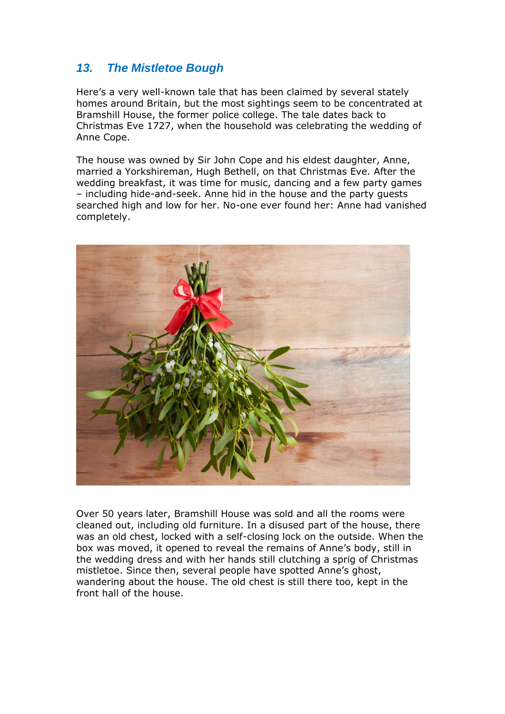# *13. The Mistletoe Bough*

Here's a very well-known tale that has been claimed by several stately homes around Britain, but the most sightings seem to be concentrated at Bramshill House, the former police college. The tale dates back to Christmas Eve 1727, when the household was celebrating the wedding of Anne Cope.

The house was owned by Sir John Cope and his eldest daughter, Anne, married a Yorkshireman, Hugh Bethell, on that Christmas Eve. After the wedding breakfast, it was time for music, dancing and a few party games – including hide-and-seek. Anne hid in the house and the party guests searched high and low for her. No-one ever found her: Anne had vanished completely.



Over 50 years later, Bramshill House was sold and all the rooms were cleaned out, including old furniture. In a disused part of the house, there was an old chest, locked with a self-closing lock on the outside. When the box was moved, it opened to reveal the remains of Anne's body, still in the wedding dress and with her hands still clutching a sprig of Christmas mistletoe. Since then, several people have spotted Anne's ghost, wandering about the house. The old chest is still there too, kept in the front hall of the house.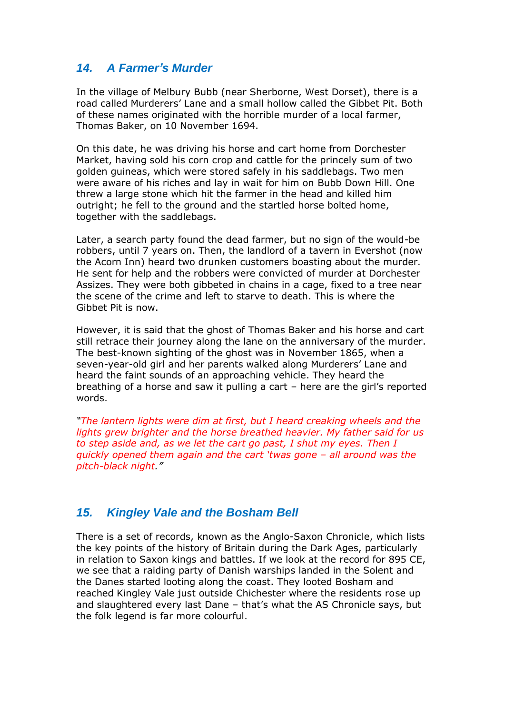### *14. A Farmer's Murder*

In the village of Melbury Bubb (near Sherborne, West Dorset), there is a road called Murderers' Lane and a small hollow called the Gibbet Pit. Both of these names originated with the horrible murder of a local farmer, Thomas Baker, on 10 November 1694.

On this date, he was driving his horse and cart home from Dorchester Market, having sold his corn crop and cattle for the princely sum of two golden guineas, which were stored safely in his saddlebags. Two men were aware of his riches and lay in wait for him on Bubb Down Hill. One threw a large stone which hit the farmer in the head and killed him outright; he fell to the ground and the startled horse bolted home, together with the saddlebags.

Later, a search party found the dead farmer, but no sign of the would-be robbers, until 7 years on. Then, the landlord of a tavern in Evershot (now the Acorn Inn) heard two drunken customers boasting about the murder. He sent for help and the robbers were convicted of murder at Dorchester Assizes. They were both gibbeted in chains in a cage, fixed to a tree near the scene of the crime and left to starve to death. This is where the Gibbet Pit is now.

However, it is said that the ghost of Thomas Baker and his horse and cart still retrace their journey along the lane on the anniversary of the murder. The best-known sighting of the ghost was in November 1865, when a seven-year-old girl and her parents walked along Murderers' Lane and heard the faint sounds of an approaching vehicle. They heard the breathing of a horse and saw it pulling a cart – here are the girl's reported words.

*"The lantern lights were dim at first, but I heard creaking wheels and the lights grew brighter and the horse breathed heavier. My father said for us to step aside and, as we let the cart go past, I shut my eyes. Then I quickly opened them again and the cart 'twas gone – all around was the pitch-black night."*

#### *15. Kingley Vale and the Bosham Bell*

There is a set of records, known as the Anglo-Saxon Chronicle, which lists the key points of the history of Britain during the Dark Ages, particularly in relation to Saxon kings and battles. If we look at the record for 895 CE, we see that a raiding party of Danish warships landed in the Solent and the Danes started looting along the coast. They looted Bosham and reached Kingley Vale just outside Chichester where the residents rose up and slaughtered every last Dane – that's what the AS Chronicle says, but the folk legend is far more colourful.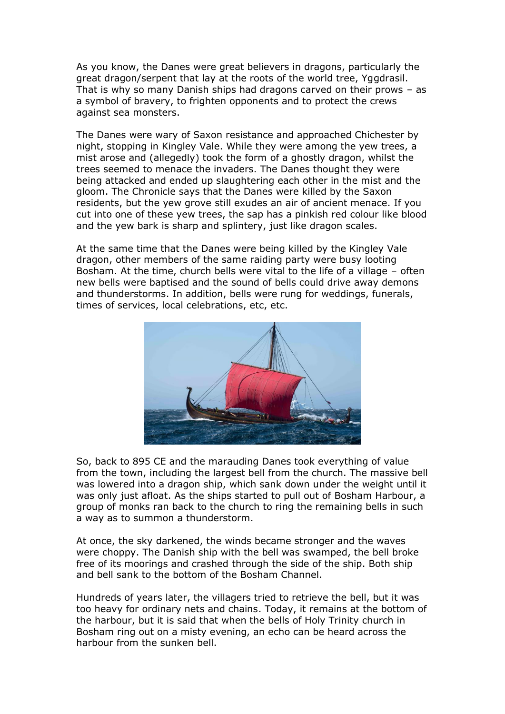As you know, the Danes were great believers in dragons, particularly the great dragon/serpent that lay at the roots of the world tree, Yggdrasil. That is why so many Danish ships had dragons carved on their prows – as a symbol of bravery, to frighten opponents and to protect the crews against sea monsters.

The Danes were wary of Saxon resistance and approached Chichester by night, stopping in Kingley Vale. While they were among the yew trees, a mist arose and (allegedly) took the form of a ghostly dragon, whilst the trees seemed to menace the invaders. The Danes thought they were being attacked and ended up slaughtering each other in the mist and the gloom. The Chronicle says that the Danes were killed by the Saxon residents, but the yew grove still exudes an air of ancient menace. If you cut into one of these yew trees, the sap has a pinkish red colour like blood and the yew bark is sharp and splintery, just like dragon scales.

At the same time that the Danes were being killed by the Kingley Vale dragon, other members of the same raiding party were busy looting Bosham. At the time, church bells were vital to the life of a village – often new bells were baptised and the sound of bells could drive away demons and thunderstorms. In addition, bells were rung for weddings, funerals, times of services, local celebrations, etc, etc.



So, back to 895 CE and the marauding Danes took everything of value from the town, including the largest bell from the church. The massive bell was lowered into a dragon ship, which sank down under the weight until it was only just afloat. As the ships started to pull out of Bosham Harbour, a group of monks ran back to the church to ring the remaining bells in such a way as to summon a thunderstorm.

At once, the sky darkened, the winds became stronger and the waves were choppy. The Danish ship with the bell was swamped, the bell broke free of its moorings and crashed through the side of the ship. Both ship and bell sank to the bottom of the Bosham Channel.

Hundreds of years later, the villagers tried to retrieve the bell, but it was too heavy for ordinary nets and chains. Today, it remains at the bottom of the harbour, but it is said that when the bells of Holy Trinity church in Bosham ring out on a misty evening, an echo can be heard across the harbour from the sunken bell.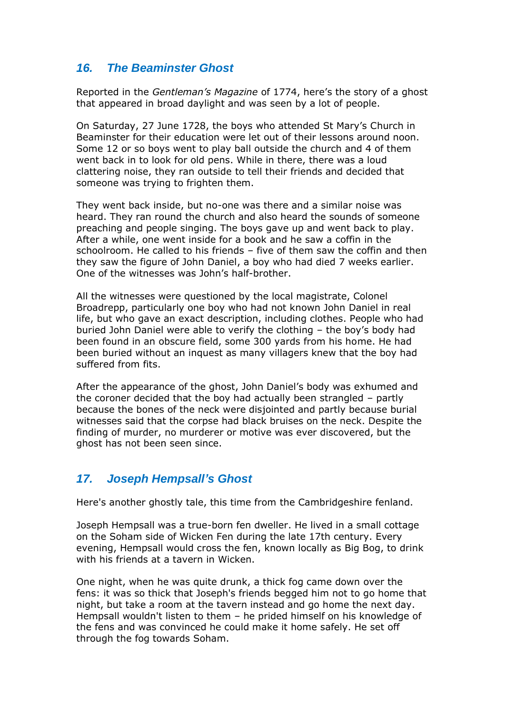## *16. The Beaminster Ghost*

Reported in the *Gentleman's Magazine* of 1774, here's the story of a ghost that appeared in broad daylight and was seen by a lot of people.

On Saturday, 27 June 1728, the boys who attended St Mary's Church in Beaminster for their education were let out of their lessons around noon. Some 12 or so boys went to play ball outside the church and 4 of them went back in to look for old pens. While in there, there was a loud clattering noise, they ran outside to tell their friends and decided that someone was trying to frighten them.

They went back inside, but no-one was there and a similar noise was heard. They ran round the church and also heard the sounds of someone preaching and people singing. The boys gave up and went back to play. After a while, one went inside for a book and he saw a coffin in the schoolroom. He called to his friends – five of them saw the coffin and then they saw the figure of John Daniel, a boy who had died 7 weeks earlier. One of the witnesses was John's half-brother.

All the witnesses were questioned by the local magistrate, Colonel Broadrepp, particularly one boy who had not known John Daniel in real life, but who gave an exact description, including clothes. People who had buried John Daniel were able to verify the clothing – the boy's body had been found in an obscure field, some 300 yards from his home. He had been buried without an inquest as many villagers knew that the boy had suffered from fits.

After the appearance of the ghost, John Daniel's body was exhumed and the coroner decided that the boy had actually been strangled – partly because the bones of the neck were disjointed and partly because burial witnesses said that the corpse had black bruises on the neck. Despite the finding of murder, no murderer or motive was ever discovered, but the ghost has not been seen since.

### *17. Joseph Hempsall's Ghost*

Here's another ghostly tale, this time from the Cambridgeshire fenland.

Joseph Hempsall was a true-born fen dweller. He lived in a small cottage on the Soham side of Wicken Fen during the late 17th century. Every evening, Hempsall would cross the fen, known locally as Big Bog, to drink with his friends at a tavern in Wicken.

One night, when he was quite drunk, a thick fog came down over the fens: it was so thick that Joseph's friends begged him not to go home that night, but take a room at the tavern instead and go home the next day. Hempsall wouldn't listen to them – he prided himself on his knowledge of the fens and was convinced he could make it home safely. He set off through the fog towards Soham.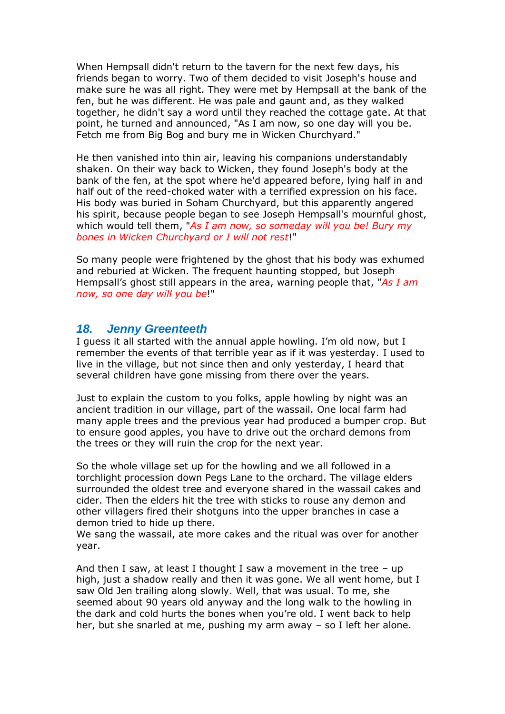When Hempsall didn't return to the tavern for the next few days, his friends began to worry. Two of them decided to visit Joseph's house and make sure he was all right. They were met by Hempsall at the bank of the fen, but he was different. He was pale and gaunt and, as they walked together, he didn't say a word until they reached the cottage gate. At that point, he turned and announced, "As I am now, so one day will you be. Fetch me from Big Bog and bury me in Wicken Churchyard."

He then vanished into thin air, leaving his companions understandably shaken. On their way back to Wicken, they found Joseph's body at the bank of the fen, at the spot where he'd appeared before, lying half in and half out of the reed-choked water with a terrified expression on his face. His body was buried in Soham Churchyard, but this apparently angered his spirit, because people began to see Joseph Hempsall's mournful ghost, which would tell them, "*As I am now, so someday will you be! Bury my bones in Wicken Churchyard or I will not rest*!"

So many people were frightened by the ghost that his body was exhumed and reburied at Wicken. The frequent haunting stopped, but Joseph Hempsall's ghost still appears in the area, warning people that, "*As I am now, so one day will you be*!"

#### *18. Jenny Greenteeth*

I guess it all started with the annual apple howling. I'm old now, but I remember the events of that terrible year as if it was yesterday. I used to live in the village, but not since then and only yesterday, I heard that several children have gone missing from there over the years.

Just to explain the custom to you folks, apple howling by night was an ancient tradition in our village, part of the wassail. One local farm had many apple trees and the previous year had produced a bumper crop. But to ensure good apples, you have to drive out the orchard demons from the trees or they will ruin the crop for the next year.

So the whole village set up for the howling and we all followed in a torchlight procession down Pegs Lane to the orchard. The village elders surrounded the oldest tree and everyone shared in the wassail cakes and cider. Then the elders hit the tree with sticks to rouse any demon and other villagers fired their shotguns into the upper branches in case a demon tried to hide up there.

We sang the wassail, ate more cakes and the ritual was over for another year.

And then I saw, at least I thought I saw a movement in the tree – up high, just a shadow really and then it was gone. We all went home, but I saw Old Jen trailing along slowly. Well, that was usual. To me, she seemed about 90 years old anyway and the long walk to the howling in the dark and cold hurts the bones when you're old. I went back to help her, but she snarled at me, pushing my arm away – so I left her alone.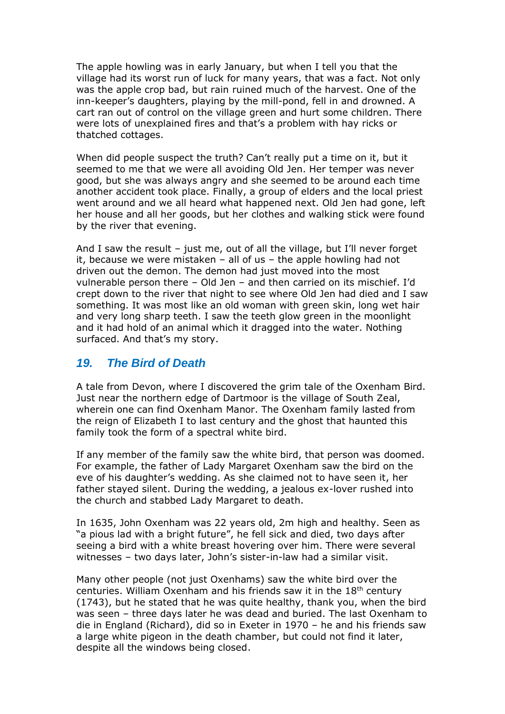The apple howling was in early January, but when I tell you that the village had its worst run of luck for many years, that was a fact. Not only was the apple crop bad, but rain ruined much of the harvest. One of the inn-keeper's daughters, playing by the mill-pond, fell in and drowned. A cart ran out of control on the village green and hurt some children. There were lots of unexplained fires and that's a problem with hay ricks or thatched cottages.

When did people suspect the truth? Can't really put a time on it, but it seemed to me that we were all avoiding Old Jen. Her temper was never good, but she was always angry and she seemed to be around each time another accident took place. Finally, a group of elders and the local priest went around and we all heard what happened next. Old Jen had gone, left her house and all her goods, but her clothes and walking stick were found by the river that evening.

And I saw the result – just me, out of all the village, but I'll never forget it, because we were mistaken – all of us – the apple howling had not driven out the demon. The demon had just moved into the most vulnerable person there – Old Jen – and then carried on its mischief. I'd crept down to the river that night to see where Old Jen had died and I saw something. It was most like an old woman with green skin, long wet hair and very long sharp teeth. I saw the teeth glow green in the moonlight and it had hold of an animal which it dragged into the water. Nothing surfaced. And that's my story.

#### *19. The Bird of Death*

A tale from Devon, where I discovered the grim tale of the Oxenham Bird. Just near the northern edge of Dartmoor is the village of South Zeal, wherein one can find Oxenham Manor. The Oxenham family lasted from the reign of Elizabeth I to last century and the ghost that haunted this family took the form of a spectral white bird.

If any member of the family saw the white bird, that person was doomed. For example, the father of Lady Margaret Oxenham saw the bird on the eve of his daughter's wedding. As she claimed not to have seen it, her father stayed silent. During the wedding, a jealous ex-lover rushed into the church and stabbed Lady Margaret to death.

In 1635, John Oxenham was 22 years old, 2m high and healthy. Seen as "a pious lad with a bright future", he fell sick and died, two days after seeing a bird with a white breast hovering over him. There were several witnesses – two days later, John's sister-in-law had a similar visit.

Many other people (not just Oxenhams) saw the white bird over the centuries. William Oxenham and his friends saw it in the  $18<sup>th</sup>$  century (1743), but he stated that he was quite healthy, thank you, when the bird was seen – three days later he was dead and buried. The last Oxenham to die in England (Richard), did so in Exeter in 1970 – he and his friends saw a large white pigeon in the death chamber, but could not find it later, despite all the windows being closed.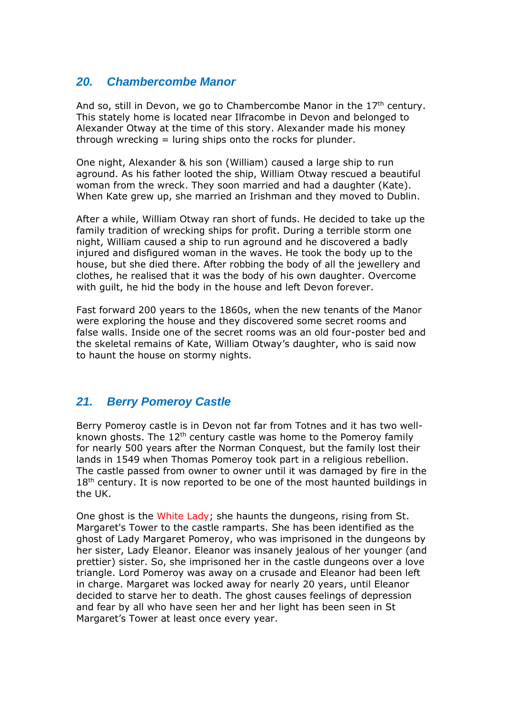### *20. Chambercombe Manor*

And so, still in Devon, we go to Chambercombe Manor in the  $17<sup>th</sup>$  century. This stately home is located near Ilfracombe in Devon and belonged to Alexander Otway at the time of this story. Alexander made his money through wrecking = luring ships onto the rocks for plunder.

One night, Alexander & his son (William) caused a large ship to run aground. As his father looted the ship, William Otway rescued a beautiful woman from the wreck. They soon married and had a daughter (Kate). When Kate grew up, she married an Irishman and they moved to Dublin.

After a while, William Otway ran short of funds. He decided to take up the family tradition of wrecking ships for profit. During a terrible storm one night, William caused a ship to run aground and he discovered a badly injured and disfigured woman in the waves. He took the body up to the house, but she died there. After robbing the body of all the jewellery and clothes, he realised that it was the body of his own daughter. Overcome with guilt, he hid the body in the house and left Devon forever.

Fast forward 200 years to the 1860s, when the new tenants of the Manor were exploring the house and they discovered some secret rooms and false walls. Inside one of the secret rooms was an old four-poster bed and the skeletal remains of Kate, William Otway's daughter, who is said now to haunt the house on stormy nights.

### *21. Berry Pomeroy Castle*

Berry Pomeroy castle is in Devon not far from Totnes and it has two wellknown ghosts. The 12th century castle was home to the Pomeroy family for nearly 500 years after the Norman Conquest, but the family lost their lands in 1549 when Thomas Pomeroy took part in a religious rebellion. The castle passed from owner to owner until it was damaged by fire in the 18<sup>th</sup> century. It is now reported to be one of the most haunted buildings in the UK.

One ghost is the White Lady; she haunts the dungeons, rising from St. Margaret's Tower to the castle ramparts. She has been identified as the ghost of Lady Margaret Pomeroy, who was imprisoned in the dungeons by her sister, Lady Eleanor. Eleanor was insanely jealous of her younger (and prettier) sister. So, she imprisoned her in the castle dungeons over a love triangle. Lord Pomeroy was away on a crusade and Eleanor had been left in charge. Margaret was locked away for nearly 20 years, until Eleanor decided to starve her to death. The ghost causes feelings of depression and fear by all who have seen her and her light has been seen in St Margaret's Tower at least once every year.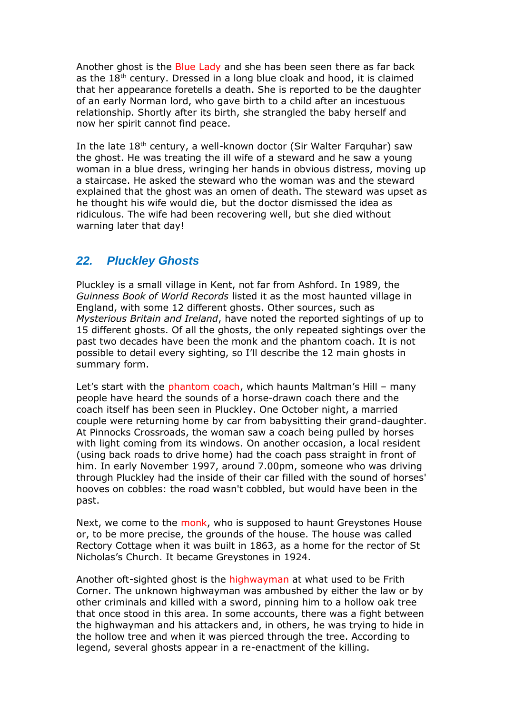Another ghost is the Blue Lady and she has been seen there as far back as the 18<sup>th</sup> century. Dressed in a long blue cloak and hood, it is claimed that her appearance foretells a death. She is reported to be the daughter of an early Norman lord, who gave birth to a child after an incestuous relationship. Shortly after its birth, she strangled the baby herself and now her spirit cannot find peace.

In the late 18<sup>th</sup> century, a well-known doctor (Sir Walter Farquhar) saw the ghost. He was treating the ill wife of a steward and he saw a young woman in a blue dress, wringing her hands in obvious distress, moving up a staircase. He asked the steward who the woman was and the steward explained that the ghost was an omen of death. The steward was upset as he thought his wife would die, but the doctor dismissed the idea as ridiculous. The wife had been recovering well, but she died without warning later that day!

#### *22. Pluckley Ghosts*

Pluckley is a small village in Kent, not far from Ashford. In 1989, the *Guinness Book of World Records* listed it as the most haunted village in England, with some 12 different ghosts. Other sources, such as *Mysterious Britain and Ireland*, have noted the reported sightings of up to 15 different ghosts. Of all the ghosts, the only repeated sightings over the past two decades have been the monk and the phantom coach. It is not possible to detail every sighting, so I'll describe the 12 main ghosts in summary form.

Let's start with the phantom coach, which haunts Maltman's Hill - many people have heard the sounds of a horse-drawn coach there and the coach itself has been seen in Pluckley. One October night, a married couple were returning home by car from babysitting their grand-daughter. At Pinnocks Crossroads, the woman saw a coach being pulled by horses with light coming from its windows. On another occasion, a local resident (using back roads to drive home) had the coach pass straight in front of him. In early November 1997, around 7.00pm, someone who was driving through Pluckley had the inside of their car filled with the sound of horses' hooves on cobbles: the road wasn't cobbled, but would have been in the past.

Next, we come to the monk, who is supposed to haunt Greystones House or, to be more precise, the grounds of the house. The house was called Rectory Cottage when it was built in 1863, as a home for the rector of St Nicholas's Church. It became Greystones in 1924.

Another oft-sighted ghost is the highwayman at what used to be Frith Corner. The unknown highwayman was ambushed by either the law or by other criminals and killed with a sword, pinning him to a hollow oak tree that once stood in this area. In some accounts, there was a fight between the highwayman and his attackers and, in others, he was trying to hide in the hollow tree and when it was pierced through the tree. According to legend, several ghosts appear in a re-enactment of the killing.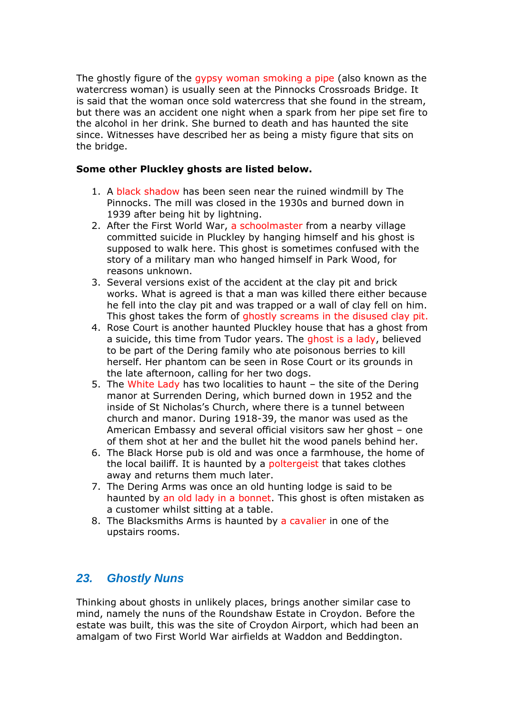The ghostly figure of the gypsy woman smoking a pipe (also known as the watercress woman) is usually seen at the Pinnocks Crossroads Bridge. It is said that the woman once sold watercress that she found in the stream, but there was an accident one night when a spark from her pipe set fire to the alcohol in her drink. She burned to death and has haunted the site since. Witnesses have described her as being a misty figure that sits on the bridge.

#### **Some other Pluckley ghosts are listed below.**

- 1. A black shadow has been seen near the ruined windmill by The Pinnocks. The mill was closed in the 1930s and burned down in 1939 after being hit by lightning.
- 2. After the First World War, a schoolmaster from a nearby village committed suicide in Pluckley by hanging himself and his ghost is supposed to walk here. This ghost is sometimes confused with the story of a military man who hanged himself in Park Wood, for reasons unknown.
- 3. Several versions exist of the accident at the clay pit and brick works. What is agreed is that a man was killed there either because he fell into the clay pit and was trapped or a wall of clay fell on him. This ghost takes the form of ghostly screams in the disused clay pit.
- 4. Rose Court is another haunted Pluckley house that has a ghost from a suicide, this time from Tudor years. The ghost is a lady, believed to be part of the Dering family who ate poisonous berries to kill herself. Her phantom can be seen in Rose Court or its grounds in the late afternoon, calling for her two dogs.
- 5. The White Lady has two localities to haunt the site of the Dering manor at Surrenden Dering, which burned down in 1952 and the inside of St Nicholas's Church, where there is a tunnel between church and manor. During 1918-39, the manor was used as the American Embassy and several official visitors saw her ghost – one of them shot at her and the bullet hit the wood panels behind her.
- 6. The Black Horse pub is old and was once a farmhouse, the home of the local bailiff. It is haunted by a poltergeist that takes clothes away and returns them much later.
- 7. The Dering Arms was once an old hunting lodge is said to be haunted by an old lady in a bonnet. This ghost is often mistaken as a customer whilst sitting at a table.
- 8. The Blacksmiths Arms is haunted by a cavalier in one of the upstairs rooms.

### *23. Ghostly Nuns*

Thinking about ghosts in unlikely places, brings another similar case to mind, namely the nuns of the Roundshaw Estate in Croydon. Before the estate was built, this was the site of Croydon Airport, which had been an amalgam of two First World War airfields at Waddon and Beddington.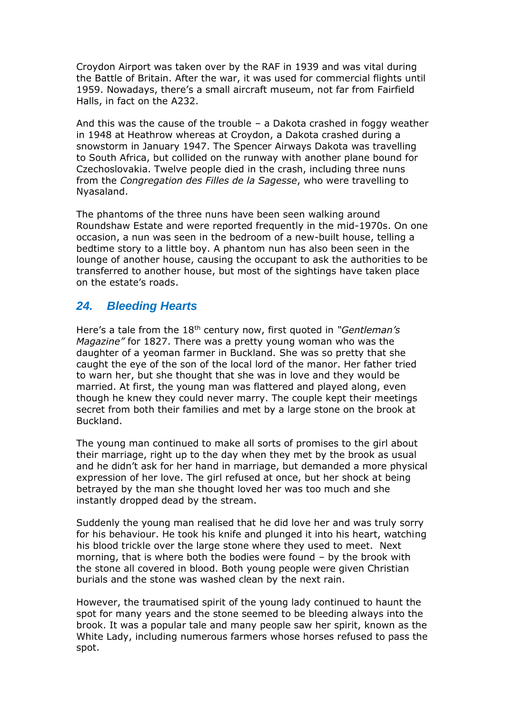Croydon Airport was taken over by the RAF in 1939 and was vital during the Battle of Britain. After the war, it was used for commercial flights until 1959. Nowadays, there's a small aircraft museum, not far from Fairfield Halls, in fact on the A232.

And this was the cause of the trouble – a Dakota crashed in foggy weather in 1948 at Heathrow whereas at Croydon, a Dakota crashed during a snowstorm in January 1947. The Spencer Airways Dakota was travelling to South Africa, but collided on the runway with another plane bound for Czechoslovakia. Twelve people died in the crash, including three nuns from the *Congregation des Filles de la Sagesse*, who were travelling to Nyasaland.

The phantoms of the three nuns have been seen walking around Roundshaw Estate and were reported frequently in the mid-1970s. On one occasion, a nun was seen in the bedroom of a new-built house, telling a bedtime story to a little boy. A phantom nun has also been seen in the lounge of another house, causing the occupant to ask the authorities to be transferred to another house, but most of the sightings have taken place on the estate's roads.

### *24. Bleeding Hearts*

Here's a tale from the 18th century now, first quoted in *"Gentleman's Magazine"* for 1827. There was a pretty young woman who was the daughter of a yeoman farmer in Buckland. She was so pretty that she caught the eye of the son of the local lord of the manor. Her father tried to warn her, but she thought that she was in love and they would be married. At first, the young man was flattered and played along, even though he knew they could never marry. The couple kept their meetings secret from both their families and met by a large stone on the brook at Buckland.

The young man continued to make all sorts of promises to the girl about their marriage, right up to the day when they met by the brook as usual and he didn't ask for her hand in marriage, but demanded a more physical expression of her love. The girl refused at once, but her shock at being betrayed by the man she thought loved her was too much and she instantly dropped dead by the stream.

Suddenly the young man realised that he did love her and was truly sorry for his behaviour. He took his knife and plunged it into his heart, watching his blood trickle over the large stone where they used to meet. Next morning, that is where both the bodies were found – by the brook with the stone all covered in blood. Both young people were given Christian burials and the stone was washed clean by the next rain.

However, the traumatised spirit of the young lady continued to haunt the spot for many years and the stone seemed to be bleeding always into the brook. It was a popular tale and many people saw her spirit, known as the White Lady, including numerous farmers whose horses refused to pass the spot.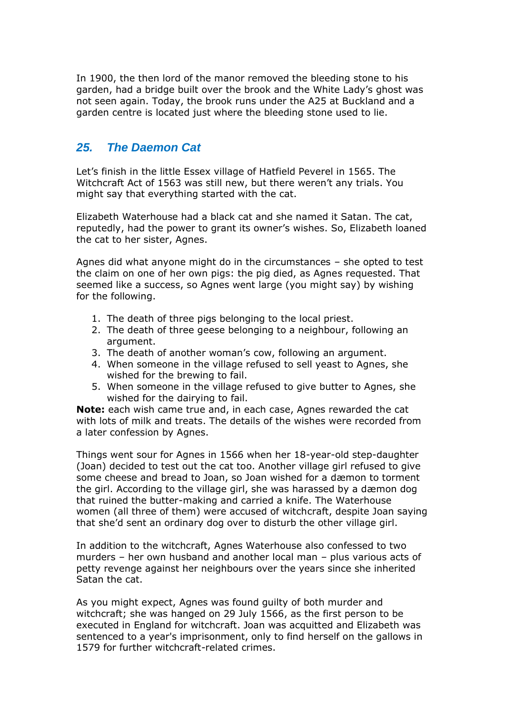In 1900, the then lord of the manor removed the bleeding stone to his garden, had a bridge built over the brook and the White Lady's ghost was not seen again. Today, the brook runs under the A25 at Buckland and a garden centre is located just where the bleeding stone used to lie.

#### *25. The Daemon Cat*

Let's finish in the little Essex village of Hatfield Peverel in 1565. The Witchcraft Act of 1563 was still new, but there weren't any trials. You might say that everything started with the cat.

Elizabeth Waterhouse had a black cat and she named it Satan. The cat, reputedly, had the power to grant its owner's wishes. So, Elizabeth loaned the cat to her sister, Agnes.

Agnes did what anyone might do in the circumstances – she opted to test the claim on one of her own pigs: the pig died, as Agnes requested. That seemed like a success, so Agnes went large (you might say) by wishing for the following.

- 1. The death of three pigs belonging to the local priest.
- 2. The death of three geese belonging to a neighbour, following an argument.
- 3. The death of another woman's cow, following an argument.
- 4. When someone in the village refused to sell yeast to Agnes, she wished for the brewing to fail.
- 5. When someone in the village refused to give butter to Agnes, she wished for the dairying to fail.

**Note:** each wish came true and, in each case, Agnes rewarded the cat with lots of milk and treats. The details of the wishes were recorded from a later confession by Agnes.

Things went sour for Agnes in 1566 when her 18-year-old step-daughter (Joan) decided to test out the cat too. Another village girl refused to give some cheese and bread to Joan, so Joan wished for a dæmon to torment the girl. According to the village girl, she was harassed by a dæmon dog that ruined the butter-making and carried a knife. The Waterhouse women (all three of them) were accused of witchcraft, despite Joan saying that she'd sent an ordinary dog over to disturb the other village girl.

In addition to the witchcraft, Agnes Waterhouse also confessed to two murders – her own husband and another local man – plus various acts of petty revenge against her neighbours over the years since she inherited Satan the cat.

As you might expect, Agnes was found guilty of both murder and witchcraft; she was hanged on 29 July 1566, as the first person to be executed in England for witchcraft. Joan was acquitted and Elizabeth was sentenced to a year's imprisonment, only to find herself on the gallows in 1579 for further witchcraft-related crimes.